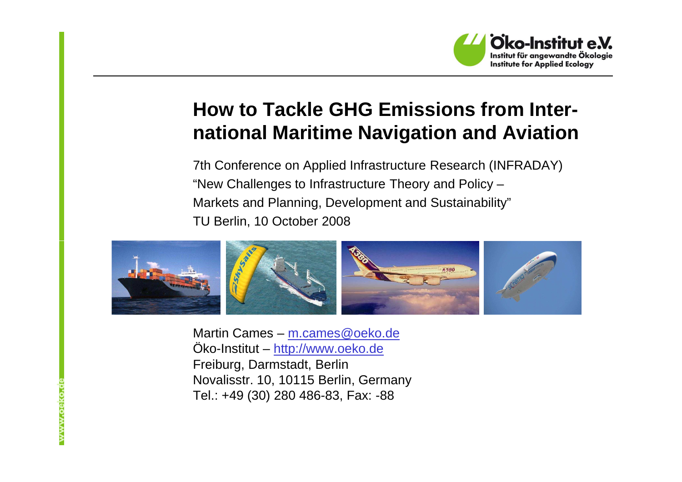

### **How to Tackle GHG Emissions from International Maritime Navigation and Aviation**

7th Conference on Applied Infrastructure Research (INFRADAY)"New Challenges to Infrastructure Theory and Policy – Markets and Planning, Development and Sustainability"TU Berlin, 10 October 2008



Martin Cames – <u>m.cames@oeko.de</u><br>... Öko-Institut – <u>http://www.oeko.de</u><br>-Freiburg, Darmstadt, Berlin Novalisstr. 10, 10115 Berlin, GermanyTel.: +49 (30) 280 486-83, Fax: -88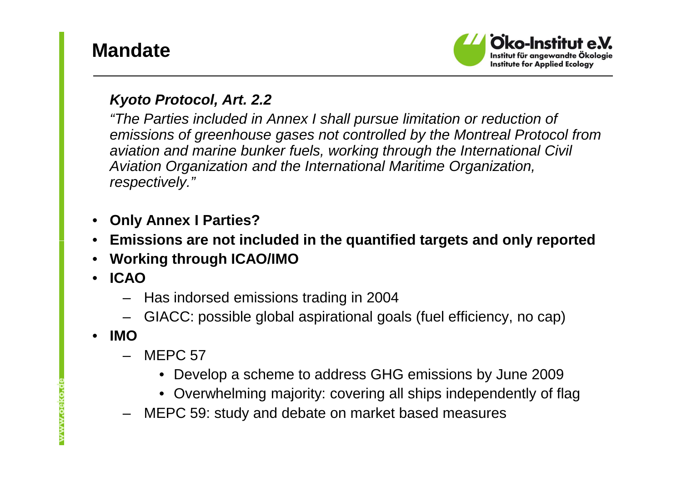## **Mandate**



#### **Kyoto Protocol, Art. 2.2**

 "The Parties included in Annex I shall pursue limitation or reduction of emissions of greenhouse gases not controlled by the Montreal Protocol from aviation and marine bunker fuels, working through the International Civil Aviation Organization and the International Maritime Organization, respectively."

- •**Only Annex I Parties?**
- **Emissions are not included in the quantified targets and only reported**•
- •**Working through ICAO/IMO**
- • **ICAO**
	- Has indorsed emissions trading in 2004
	- GIACC: possible global aspirational goals (fuel efficiency, no cap)
- • **IMO**
	- MFPC 57
		- Develop a scheme to address GHG emissions by June 2009
		- Overwhelming majority: covering all ships independently of flag
	- MEPC 59: study and debate on market based measures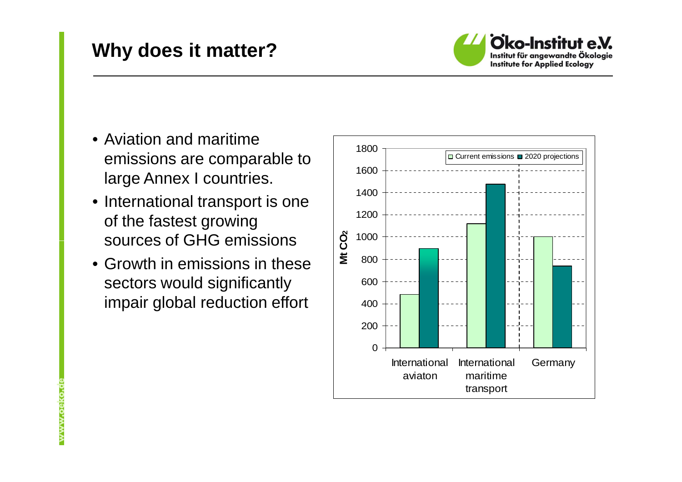## **Why does it matter?**



- Aviation and maritime emissions are comparable to large Annex I countries.
- International transport is one of the fastest growing sources of GHG emissions
- Growth in emissions in these sectors would significantly impair global reduction effort



www.oeko.c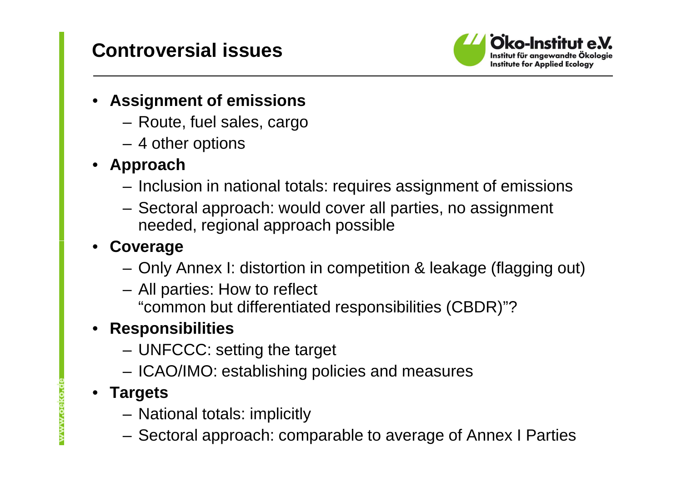## **Controversial issues**



#### • **Assignment of emissions**

- Route, fuel sales, cargo
- 4 other options

#### • **Approach**

- Inclus Inclusion in national totals: requires assignment of emissions
- Sectoral approach: would cover all parties, no assignment needed, regional approach possible

#### •**Coverage**

- Only Annex I: distortion in competition & leakage (flagging out)
- All parties: How to reflect "common but differentiated responsibilities (CBDR)"?

#### • **Responsibilities**

- UNFCCC: setting the target
- ICAO/IMO: establishing policies and measures

#### • **Targets**

- National totals: implicitly
- Sectoral approach: comparable to average of Annex I Parties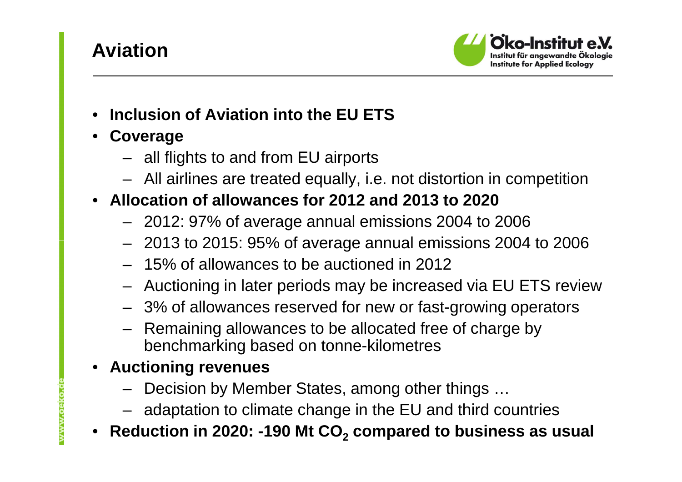## **Aviation**



- •**Inclusion of Aviation into the EU ETS**
- • **Coverage**
	- all flights to and from EU airports
	- All airlines are treated equally, i.e. not distortion in competition

#### • **Allocation of allowances for 2012 and 2013 to 2020**

- 2012: 97% of average annual emissions 2004 to 2006
- 2013 to 2015: 95% of average annual emissions 2004 to 2006
- 15% of allowances to be auctioned in 2012
- Auctioning in later periods may be increased via EU ETS review
- 3% of allowances reserved for new or fast-growing operators
- Remaining allowances to be allocated free of charge by benchmarking based on tonne-kilometres

#### • **Auctioning revenues**

www.oeko.

- Decision by Member States, among other things …
- adaptation to climate change in the EU and third countries
- **Reduction in 2020: -190 Mt CO<sup>2</sup> compared to business as usual**•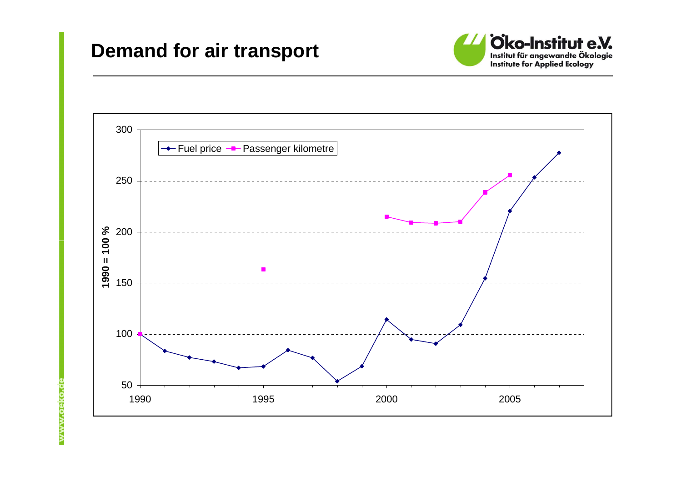#### **Demand for air transport**





www.oeko.de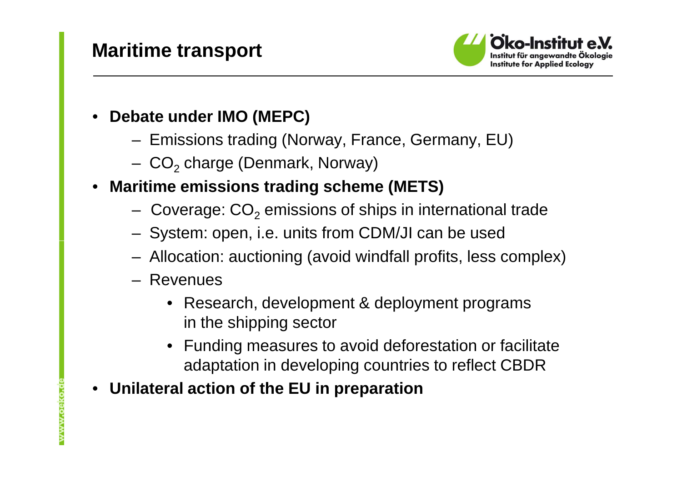## **Maritime transport**



- • **Debate under IMO (MEPC)**
	- Emissions trading (Norway, France, Germany, EU)
	- CO<sub>2</sub> charge (Denmark, Norway)
- • **Maritime emissions trading scheme (METS)**
	- Coverage:  $CO<sub>2</sub>$  emissions of ships in international trade
	- $-$  System: open, i.e. units from CDM/JI can be used
	- Allocation: auctioning (avoid windfall profits, less complex)
	- Revenues
		- Research, development & deployment programsin the shipping sector
		- Funding measures to avoid deforestation or facilitate adaptation in developing countries to reflect CBDR
- •**Unilateral action of the EU in preparation**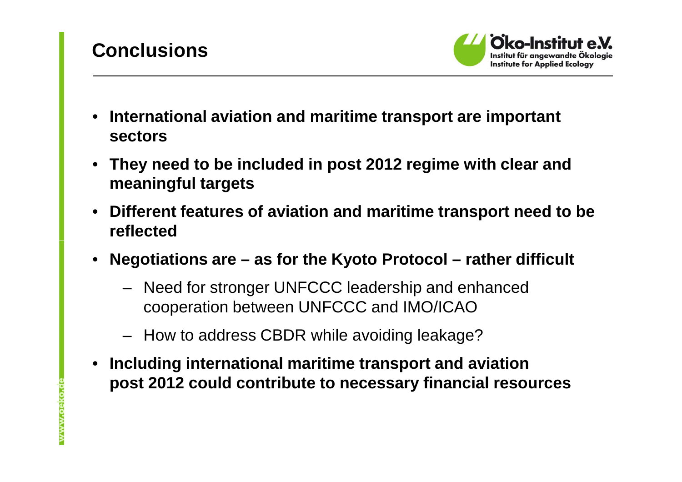# **Conclusions**

www.oeko.



- • **International aviation and maritime transport are important sectors**
- • **They need to be included in post 2012 regime with clear and meaningful targets**
- • **Different features of aviation and maritime transport need to be reflected**
- $\bullet$  **Negotiations are – as for the Kyoto Protocol – rather difficult**
	- Need for stronger UNFCCC leadership and enhanced cooperation between UNFCCC and IMO/ICAO
	- How to address CBDR while avoiding leakage?
- $\bullet$  **Including international maritime transport and aviationpost 2012 could contribute to necessary financial resources**